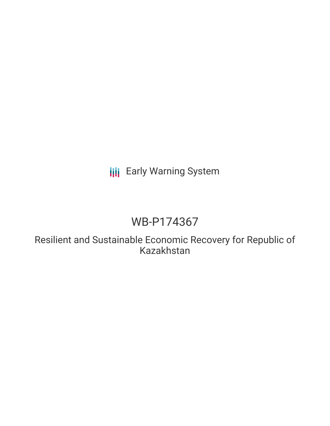## **III** Early Warning System

# WB-P174367

Resilient and Sustainable Economic Recovery for Republic of Kazakhstan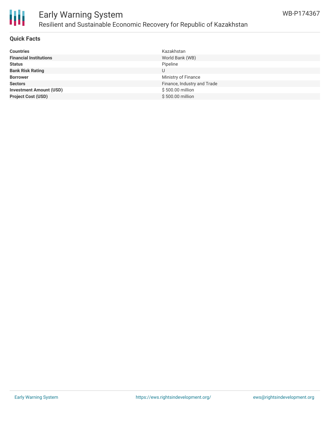

### Early Warning System Resilient and Sustainable Economic Recovery for Republic of Kazakhstan

### **Quick Facts**

| <b>Countries</b>               | Kazakhstan                  |
|--------------------------------|-----------------------------|
| <b>Financial Institutions</b>  | World Bank (WB)             |
| <b>Status</b>                  | Pipeline                    |
| <b>Bank Risk Rating</b>        | U                           |
| <b>Borrower</b>                | Ministry of Finance         |
| <b>Sectors</b>                 | Finance, Industry and Trade |
| <b>Investment Amount (USD)</b> | \$500.00 million            |
| <b>Project Cost (USD)</b>      | \$500.00 million            |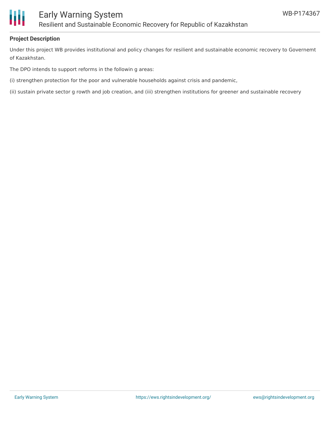

### **Project Description**

Under this project WB provides institutional and policy changes for resilient and sustainable economic recovery to Governemt of Kazakhstan.

The DPO intends to support reforms in the followin g areas:

(i) strengthen protection for the poor and vulnerable households against crisis and pandemic,

(ii) sustain private sector g rowth and job creation, and (iii) strengthen institutions for greener and sustainable recovery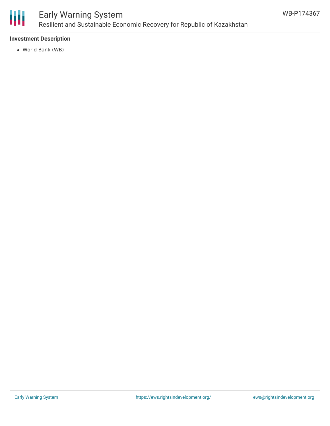

## Early Warning System Resilient and Sustainable Economic Recovery for Republic of Kazakhstan

### **Investment Description**

World Bank (WB)